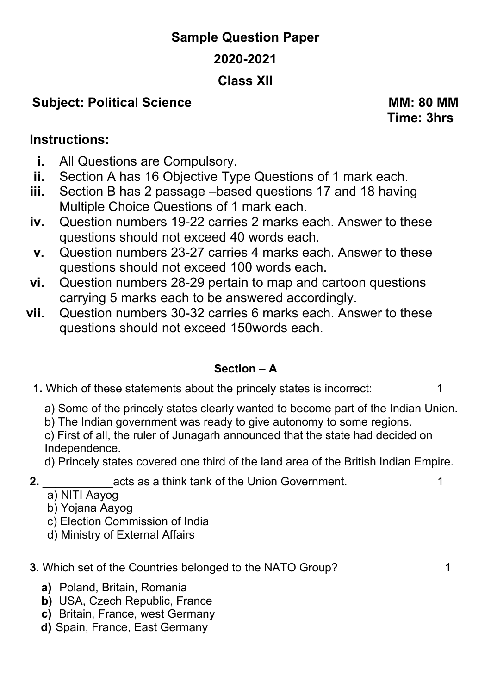# **Sample Question Paper 2020-2021 Class XII**

## **Subject: Political Science MM: 80 MM**

 **Time: 3hrs** 

## **Instructions:**

- **i.** All Questions are Compulsory.
- **ii.** Section A has 16 Objective Type Questions of 1 mark each.
- **iii.** Section B has 2 passage –based questions 17 and 18 having Multiple Choice Questions of 1 mark each.
- **iv.** Question numbers 19-22 carries 2 marks each. Answer to these questions should not exceed 40 words each.
- **v.** Question numbers 23-27 carries 4 marks each. Answer to these questions should not exceed 100 words each.
- **vi.** Question numbers 28-29 pertain to map and cartoon questions carrying 5 marks each to be answered accordingly.
- **vii.** Question numbers 30-32 carries 6 marks each. Answer to these questions should not exceed 150words each.

## **Section – A**

- **1.** Which of these statements about the princely states is incorrect: 1
	- a) Some of the princely states clearly wanted to become part of the Indian Union.
	- b) The Indian government was ready to give autonomy to some regions.
	- c) First of all, the ruler of Junagarh announced that the state had decided on Independence.
	- d) Princely states covered one third of the land area of the British Indian Empire.
- **2.** \_\_\_\_\_\_\_\_\_\_\_acts as a think tank of the Union Government. 1
	- a) NITI Aayog
	- b) Yojana Aayog
	- c) Election Commission of India
	- d) Ministry of External Affairs

## **3**. Which set of the Countries belonged to the NATO Group? 1

- **a)** Poland, Britain, Romania
- **b)** USA, Czech Republic, France
- **c)** Britain, France, west Germany
- **d)** Spain, France, East Germany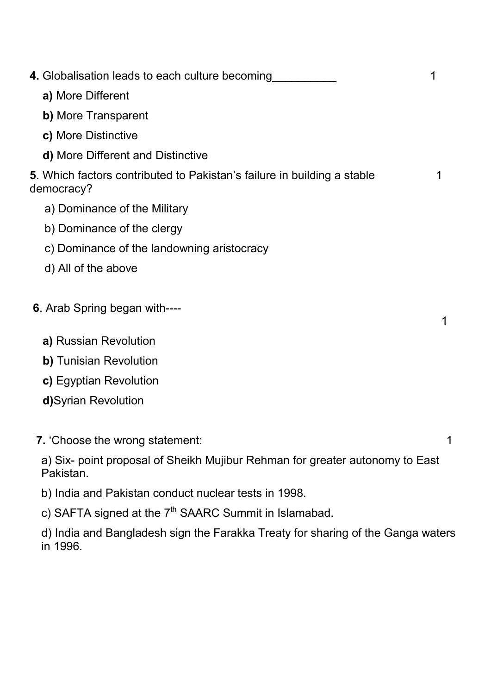| 4. Globalisation leads to each culture becoming                                           |   |
|-------------------------------------------------------------------------------------------|---|
| a) More Different                                                                         |   |
| b) More Transparent                                                                       |   |
| c) More Distinctive                                                                       |   |
| d) More Different and Distinctive                                                         |   |
| 5. Which factors contributed to Pakistan's failure in building a stable<br>democracy?     | 1 |
| a) Dominance of the Military                                                              |   |
| b) Dominance of the clergy                                                                |   |
| c) Dominance of the landowning aristocracy                                                |   |
| d) All of the above                                                                       |   |
| <b>6.</b> Arab Spring began with----                                                      | 1 |
| a) Russian Revolution                                                                     |   |
| b) Tunisian Revolution                                                                    |   |
| c) Egyptian Revolution                                                                    |   |
| d)Syrian Revolution                                                                       |   |
|                                                                                           |   |
| 7. 'Choose the wrong statement:                                                           | 1 |
| a) Six- point proposal of Sheikh Mujibur Rehman for greater autonomy to East<br>Pakistan. |   |

- b) India and Pakistan conduct nuclear tests in 1998.
- c) SAFTA signed at the 7<sup>th</sup> SAARC Summit in Islamabad.

d) India and Bangladesh sign the Farakka Treaty for sharing of the Ganga waters in 1996.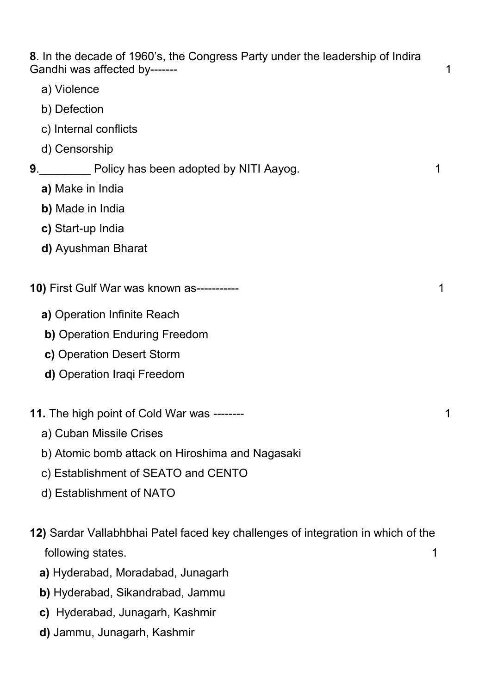**8**. In the decade of 1960's, the Congress Party under the leadership of Indira Gandhi was affected by------- 1

- a) Violence
- b) Defection
- c) Internal conflicts
- d) Censorship

### **9**. **1** Policy has been adopted by NITI Aayog. 1

- **a)** Make in India
- **b)** Made in India
- **c)** Start-up India
- **d)** Ayushman Bharat
- **10)** First Gulf War was known as----------- 1
	- **a)** Operation Infinite Reach
	- **b)** Operation Enduring Freedom
	- **c)** Operation Desert Storm
	- **d)** Operation Iraqi Freedom

#### **11.** The high point of Cold War was -------- 1

- a) Cuban Missile Crises
- b) Atomic bomb attack on Hiroshima and Nagasaki
- c) Establishment of SEATO and CENTO
- d) Establishment of NATO
- **12)** Sardar Vallabhbhai Patel faced key challenges of integration in which of the following states. 1
	- **a)** Hyderabad, Moradabad, Junagarh
	- **b)** Hyderabad, Sikandrabad, Jammu
	- **c)** Hyderabad, Junagarh, Kashmir
	- **d)** Jammu, Junagarh, Kashmir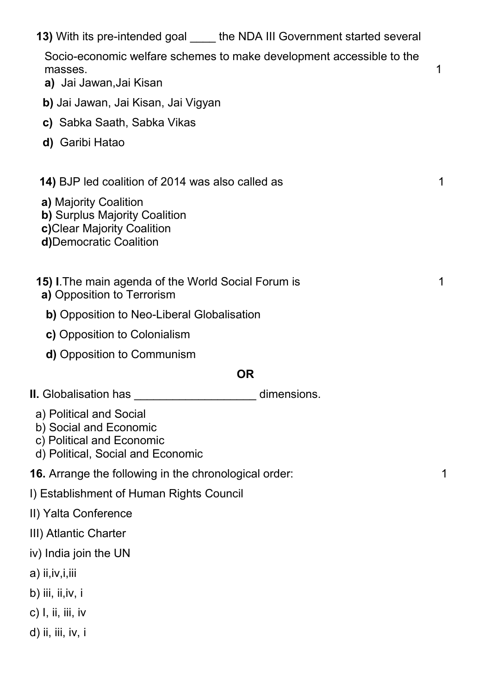| 13) With its pre-intended goal _____ the NDA III Government started several<br>Socio-economic welfare schemes to make development accessible to the<br>masses.<br><b>a)</b> Jai Jawan,Jai Kisan | 1 |  |
|-------------------------------------------------------------------------------------------------------------------------------------------------------------------------------------------------|---|--|
| <b>b)</b> Jai Jawan, Jai Kisan, Jai Vigyan                                                                                                                                                      |   |  |
| c) Sabka Saath, Sabka Vikas                                                                                                                                                                     |   |  |
| d) Garibi Hatao                                                                                                                                                                                 |   |  |
| <b>14)</b> BJP led coalition of 2014 was also called as                                                                                                                                         | 1 |  |
| a) Majority Coalition<br>b) Surplus Majority Coalition<br>c) Clear Majority Coalition<br>d) Democratic Coalition                                                                                |   |  |
| <b>15) I. The main agenda of the World Social Forum is</b><br>a) Opposition to Terrorism                                                                                                        |   |  |
| <b>b)</b> Opposition to Neo-Liberal Globalisation                                                                                                                                               |   |  |
| c) Opposition to Colonialism                                                                                                                                                                    |   |  |
| d) Opposition to Communism                                                                                                                                                                      |   |  |
| <b>OR</b>                                                                                                                                                                                       |   |  |
| <b>II.</b> Globalisation has<br>dimensions.                                                                                                                                                     |   |  |
| a) Political and Social<br>b) Social and Economic<br>c) Political and Economic<br>d) Political, Social and Economic                                                                             |   |  |
| <b>16.</b> Arrange the following in the chronological order:                                                                                                                                    | 1 |  |
| I) Establishment of Human Rights Council                                                                                                                                                        |   |  |
| II) Yalta Conference                                                                                                                                                                            |   |  |
| III) Atlantic Charter                                                                                                                                                                           |   |  |
| iv) India join the UN                                                                                                                                                                           |   |  |
| a) ii, iv, i, iii                                                                                                                                                                               |   |  |
| b) iii, ii,iv, i                                                                                                                                                                                |   |  |
| $c)$ I, ii, iii, iv                                                                                                                                                                             |   |  |
| d) ii, iii, iv, i                                                                                                                                                                               |   |  |
|                                                                                                                                                                                                 |   |  |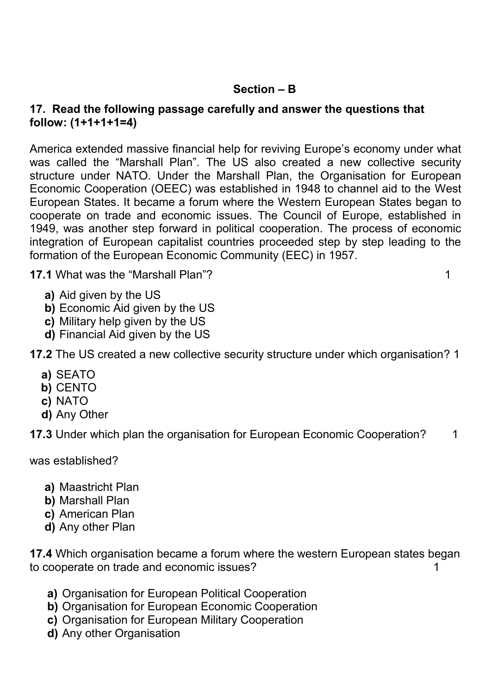### **Section – B**

#### **17. Read the following passage carefully and answer the questions that follow: (1+1+1+1=4)**

America extended massive financial help for reviving Europe's economy under what was called the "Marshall Plan". The US also created a new collective security structure under NATO. Under the Marshall Plan, the Organisation for European Economic Cooperation (OEEC) was established in 1948 to channel aid to the West European States. It became a forum where the Western European States began to cooperate on trade and economic issues. The Council of Europe, established in 1949, was another step forward in political cooperation. The process of economic integration of European capitalist countries proceeded step by step leading to the formation of the European Economic Community (EEC) in 1957.

**17.1** What was the "Marshall Plan"? 1

- **a)** Aid given by the US
- **b)** Economic Aid given by the US
- **c)** Military help given by the US
- **d)** Financial Aid given by the US
- **17.2** The US created a new collective security structure under which organisation? 1
	- **a)** SEATO
	- **b)** CENTO
	- **c)** NATO
	- **d)** Any Other

**17.3** Under which plan the organisation for European Economic Cooperation? 1

was established?

- **a)** Maastricht Plan
- **b)** Marshall Plan
- **c)** American Plan
- **d)** Any other Plan

**17.4** Which organisation became a forum where the western European states began to cooperate on trade and economic issues? 1

- **a)** Organisation for European Political Cooperation
- **b)** Organisation for European Economic Cooperation
- **c)** Organisation for European Military Cooperation
- **d)** Any other Organisation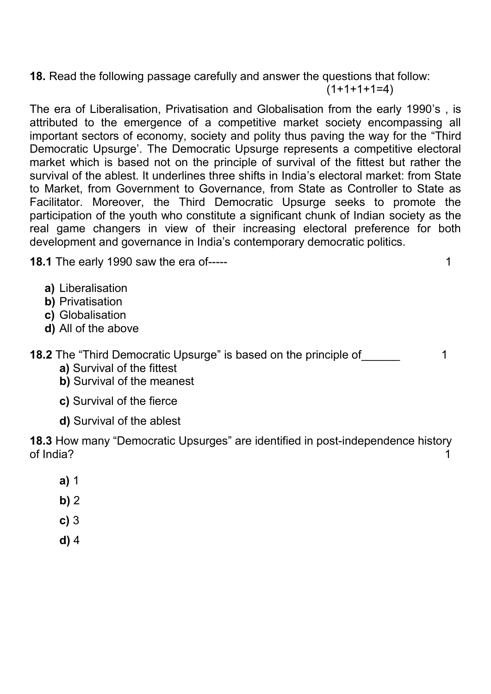**18.** Read the following passage carefully and answer the questions that follow:  $(1+1+1+1=4)$ 

The era of Liberalisation, Privatisation and Globalisation from the early 1990's , is attributed to the emergence of a competitive market society encompassing all important sectors of economy, society and polity thus paving the way for the "Third Democratic Upsurge'. The Democratic Upsurge represents a competitive electoral market which is based not on the principle of survival of the fittest but rather the survival of the ablest. It underlines three shifts in India's electoral market: from State to Market, from Government to Governance, from State as Controller to State as Facilitator. Moreover, the Third Democratic Upsurge seeks to promote the participation of the youth who constitute a significant chunk of Indian society as the real game changers in view of their increasing electoral preference for both development and governance in India's contemporary democratic politics.

**18.1** The early 1990 saw the era of----- 1

- **a)** Liberalisation
- **b)** Privatisation
- **c)** Globalisation
- **d)** All of the above

**18.2** The "Third Democratic Upsurge" is based on the principle of Third 1

- **a)** Survival of the fittest
- **b)** Survival of the meanest
- **c)** Survival of the fierce
- **d)** Survival of the ablest

**18.3** How many "Democratic Upsurges" are identified in post-independence history of India? 1

- **a)** 1
- **b)** 2
- **c)** 3
- **d)** 4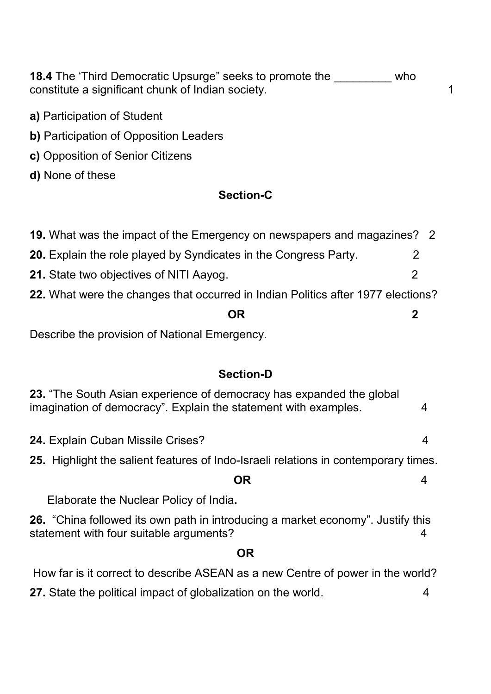**18.4** The 'Third Democratic Upsurge" seeks to promote the who constitute a significant chunk of Indian society. The matrix of the state of the state of the state of the state of the state of the state of the state of the state of the state of the state of the state of the state of th

- **a)** Participation of Student
- **b)** Participation of Opposition Leaders
- **c)** Opposition of Senior Citizens
- **d)** None of these

### **Section-C**

| DR                                                                               |  |
|----------------------------------------------------------------------------------|--|
| 22. What were the changes that occurred in Indian Politics after 1977 elections? |  |
| 21. State two objectives of NITI Aayog.<br>2                                     |  |
| 20. Explain the role played by Syndicates in the Congress Party.                 |  |
| 19. What was the impact of the Emergency on newspapers and magazines? 2          |  |

Describe the provision of National Emergency.

## **Section-D**

| 23. "The South Asian experience of democracy has expanded the global<br>imagination of democracy". Explain the statement with examples. |  |  |
|-----------------------------------------------------------------------------------------------------------------------------------------|--|--|
| <b>24. Explain Cuban Missile Crises?</b>                                                                                                |  |  |
| 25. Highlight the salient features of Indo-Israeli relations in contemporary times.                                                     |  |  |
| <b>OR</b>                                                                                                                               |  |  |
| Elaborate the Nuclear Policy of India.                                                                                                  |  |  |
| <b>26.</b> "China followed its own path in introducing a market economy". Justify this<br>statement with four suitable arguments?       |  |  |
| <b>OR</b>                                                                                                                               |  |  |
|                                                                                                                                         |  |  |

How far is it correct to describe ASEAN as a new Centre of power in the world?

**27.** State the political impact of globalization on the world. 4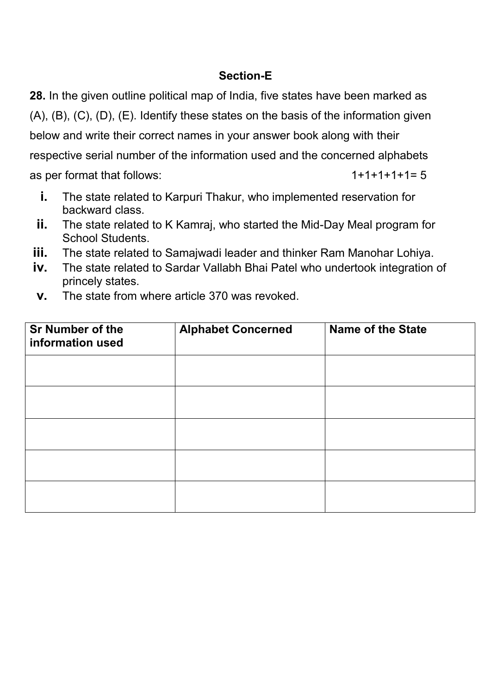## **Section-E**

**28.** In the given outline political map of India, five states have been marked as (A), (B), (C), (D), (E). Identify these states on the basis of the information given below and write their correct names in your answer book along with their respective serial number of the information used and the concerned alphabets as per format that follows:  $1+1+1+1=5$ 

- **i.** The state related to Karpuri Thakur, who implemented reservation for backward class.
- **ii.** The state related to K Kamraj, who started the Mid-Day Meal program for School Students.
- **iii.** The state related to Samajwadi leader and thinker Ram Manohar Lohiya.
- **iv.** The state related to Sardar Vallabh Bhai Patel who undertook integration of princely states.
- **v.** The state from where article 370 was revoked.

| <b>Sr Number of the</b><br>information used | <b>Alphabet Concerned</b> | <b>Name of the State</b> |
|---------------------------------------------|---------------------------|--------------------------|
|                                             |                           |                          |
|                                             |                           |                          |
|                                             |                           |                          |
|                                             |                           |                          |
|                                             |                           |                          |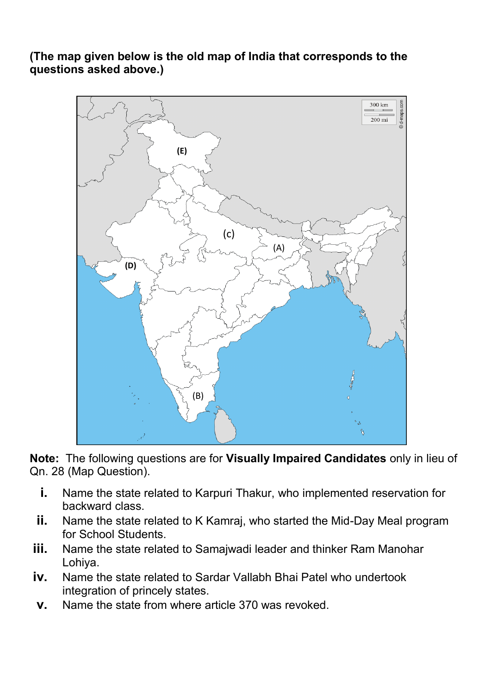**(The map given below is the old map of India that corresponds to the questions asked above.)** 



**Note:** The following questions are for **Visually Impaired Candidates** only in lieu of Qn. 28 (Map Question).

- **i.** Name the state related to Karpuri Thakur, who implemented reservation for backward class.
- **ii.** Name the state related to K Kamraj, who started the Mid-Day Meal program for School Students.
- **iii.** Name the state related to Samajwadi leader and thinker Ram Manohar Lohiya.
- **iv.** Name the state related to Sardar Vallabh Bhai Patel who undertook integration of princely states.
- **v.** Name the state from where article 370 was revoked.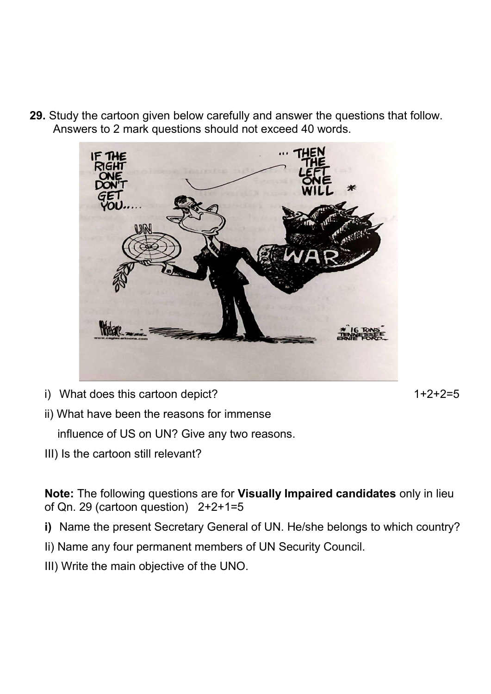**29.** Study the cartoon given below carefully and answer the questions that follow. Answers to 2 mark questions should not exceed 40 words.



i) What does this cartoon depict?  $1+2+2=5$ 

ii) What have been the reasons for immense

influence of US on UN? Give any two reasons.

III) Is the cartoon still relevant?

**Note:** The following questions are for **Visually Impaired candidates** only in lieu of Qn. 29 (cartoon question) 2+2+1=5

- **i)** Name the present Secretary General of UN. He/she belongs to which country?
- Ii) Name any four permanent members of UN Security Council.
- III) Write the main objective of the UNO.